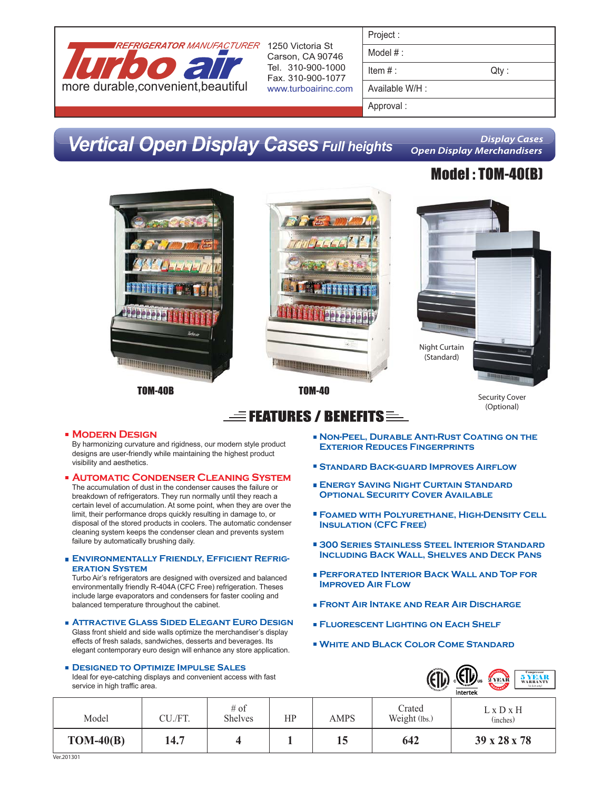

Carson, CA 90746 Tel. 310-900-1000 Fax. 310-900-1077 www.turboairinc.com

## **Vertical Open Display Cases Full heights**

**Display Cases Open Display Merchandisers** 

## Model : TOM-40(B)



**Foamed with Polyurethane, High-Density Cell Insulation (CFC Free)**

- **300 Series Stainless Steel Interior Standard Including Back Wall, Shelves and Deck Pans**
- **Perforated Interior Back Wall and Top for Improved Air Flow**
- **Front Air Intake and Rear Air Discharge**
- **Fluorescent Lighting on Each Shelf**
- **White and Black Color Come Standard**



|             |         |                          |    |             |                         | пистек                            |
|-------------|---------|--------------------------|----|-------------|-------------------------|-----------------------------------|
| Model       | CU./FT. | $#$ of<br><b>Shelves</b> | HP | <b>AMPS</b> | Crated<br>Weight (lbs.) | $L \times D \times H$<br>(inches) |
| $TOM-40(B)$ | 14.7    |                          |    | 15          | 642                     | 39 x 28 x 78                      |

designs are user-friendly while maintaining the highest product visibility and aesthetics.

- The accumulation of dust in the condenser causes the failure or breakdown of refrigerators. They run normally until they reach a certain level of accumulation. At some point, when they are over the limit, their performance drops quickly resulting in damage to, or disposal of the stored products in coolers. The automatic condenser cleaning system keeps the condenser clean and prevents system failure by automatically brushing daily.
- **Environmentally Friendly, Efficient Refrigeration System**

Turbo Air's refrigerators are designed with oversized and balanced environmentally friendly R-404A (CFC Free) refrigeration. Theses include large evaporators and condensers for faster cooling and balanced temperature throughout the cabinet.

**Attractive Glass Sided Elegant Euro Design** Glass front shield and side walls optimize the merchandiser's display effects of fresh salads, sandwiches, desserts and beverages. Its elegant contemporary euro design will enhance any store application.

**Designed to Optimize Impulse Sales**

Ideal for eye-catching displays and convenient access with fast service in high traffic area.